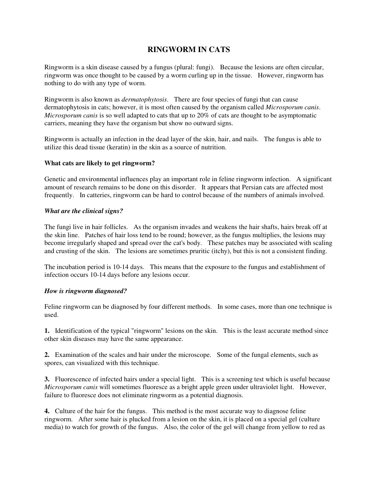# **RINGWORM IN CATS**

Ringworm is a skin disease caused by a fungus (plural: fungi). Because the lesions are often circular, ringworm was once thought to be caused by a worm curling up in the tissue. However, ringworm has nothing to do with any type of worm.

Ringworm is also known as *dermatophytosis*. There are four species of fungi that can cause dermatophytosis in cats; however, it is most often caused by the organism called *Microsporum canis*. *Microsporum canis* is so well adapted to cats that up to 20% of cats are thought to be asymptomatic carriers, meaning they have the organism but show no outward signs.

Ringworm is actually an infection in the dead layer of the skin, hair, and nails. The fungus is able to utilize this dead tissue (keratin) in the skin as a source of nutrition.

#### **What cats are likely to get ringworm?**

Genetic and environmental influences play an important role in feline ringworm infection. A significant amount of research remains to be done on this disorder. It appears that Persian cats are affected most frequently. In catteries, ringworm can be hard to control because of the numbers of animals involved.

#### *What are the clinical signs?*

The fungi live in hair follicles. As the organism invades and weakens the hair shafts, hairs break off at the skin line. Patches of hair loss tend to be round; however, as the fungus multiplies, the lesions may become irregularly shaped and spread over the cat's body. These patches may be associated with scaling and crusting of the skin. The lesions are sometimes pruritic (itchy), but this is not a consistent finding.

The incubation period is 10-14 days. This means that the exposure to the fungus and establishment of infection occurs 10-14 days before any lesions occur.

### *How is ringworm diagnosed?*

Feline ringworm can be diagnosed by four different methods. In some cases, more than one technique is used.

**1.** Identification of the typical "ringworm" lesions on the skin. This is the least accurate method since other skin diseases may have the same appearance.

**2.** Examination of the scales and hair under the microscope. Some of the fungal elements, such as spores, can visualized with this technique.

**3.** Fluorescence of infected hairs under a special light. This is a screening test which is useful because *Microsporum canis* will sometimes fluoresce as a bright apple green under ultraviolet light. However, failure to fluoresce does not eliminate ringworm as a potential diagnosis.

**4.** Culture of the hair for the fungus. This method is the most accurate way to diagnose feline ringworm. After some hair is plucked from a lesion on the skin, it is placed on a special gel (culture media) to watch for growth of the fungus. Also, the color of the gel will change from yellow to red as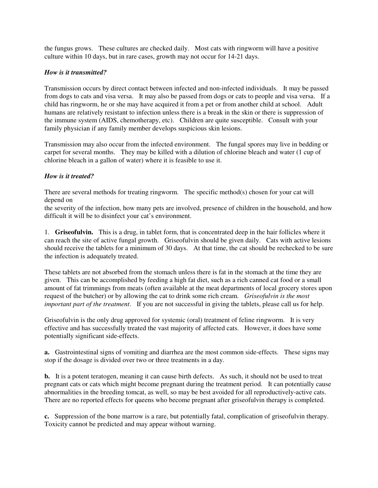the fungus grows. These cultures are checked daily. Most cats with ringworm will have a positive culture within 10 days, but in rare cases, growth may not occur for 14-21 days.

## *How is it transmitted?*

Transmission occurs by direct contact between infected and non-infected individuals. It may be passed from dogs to cats and visa versa. It may also be passed from dogs or cats to people and visa versa. If a child has ringworm, he or she may have acquired it from a pet or from another child at school. Adult humans are relatively resistant to infection unless there is a break in the skin or there is suppression of the immune system (AIDS, chemotherapy, etc). Children are quite susceptible. Consult with your family physician if any family member develops suspicious skin lesions.

Transmission may also occur from the infected environment. The fungal spores may live in bedding or carpet for several months. They may be killed with a dilution of chlorine bleach and water (1 cup of chlorine bleach in a gallon of water) where it is feasible to use it.

## *How is it treated?*

There are several methods for treating ringworm. The specific method(s) chosen for your cat will depend on

the severity of the infection, how many pets are involved, presence of children in the household, and how difficult it will be to disinfect your cat's environment.

1. **Griseofulvin.** This is a drug, in tablet form, that is concentrated deep in the hair follicles where it can reach the site of active fungal growth. Griseofulvin should be given daily. Cats with active lesions should receive the tablets for a minimum of 30 days. At that time, the cat should be rechecked to be sure the infection is adequately treated.

These tablets are not absorbed from the stomach unless there is fat in the stomach at the time they are given. This can be accomplished by feeding a high fat diet, such as a rich canned cat food or a small amount of fat trimmings from meats (often available at the meat departments of local grocery stores upon request of the butcher) or by allowing the cat to drink some rich cream. *Griseofulvin is the most important part of the treatment*. If you are not successful in giving the tablets, please call us for help.

Griseofulvin is the only drug approved for systemic (oral) treatment of feline ringworm. It is very effective and has successfully treated the vast majority of affected cats. However, it does have some potentially significant side-effects.

**a.** Gastrointestinal signs of vomiting and diarrhea are the most common side-effects. These signs may stop if the dosage is divided over two or three treatments in a day.

**b.** It is a potent teratogen, meaning it can cause birth defects. As such, it should not be used to treat pregnant cats or cats which might become pregnant during the treatment period. It can potentially cause abnormalities in the breeding tomcat, as well, so may be best avoided for all reproductively-active cats. There are no reported effects for queens who become pregnant after griseofulvin therapy is completed.

**c.** Suppression of the bone marrow is a rare, but potentially fatal, complication of griseofulvin therapy. Toxicity cannot be predicted and may appear without warning.